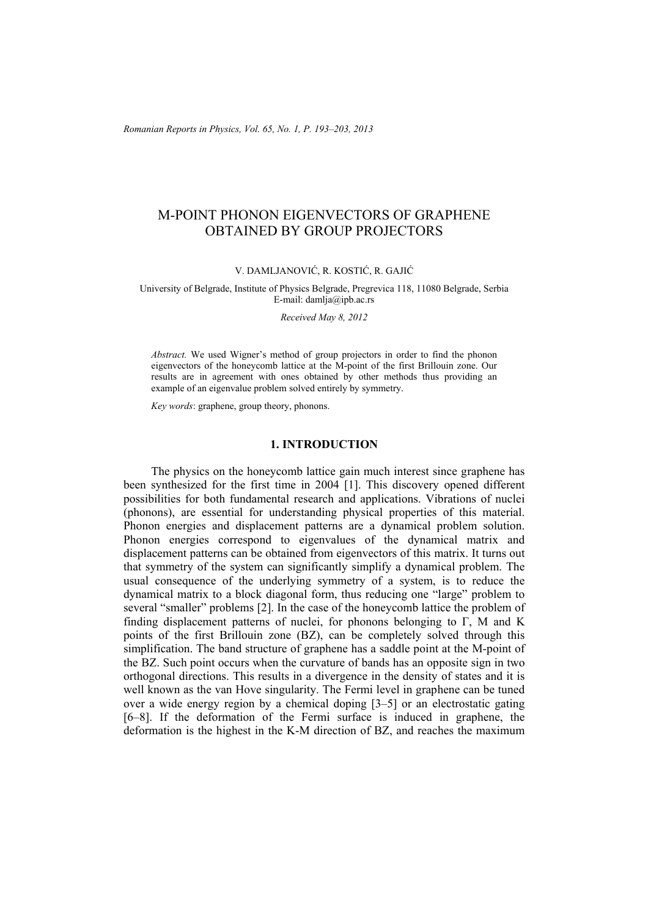*Romanian Reports in Physics, Vol. 65, No. 1, P. 193–203, 2013*

# M-POINT PHONON EIGENVECTORS OF GRAPHENE OBTAINED BY GROUP PROJECTORS

#### V. DAMLJANOVIĆ, R. KOSTIĆ, R. GAJIĆ

#### University of Belgrade, Institute of Physics Belgrade, Pregrevica 118, 11080 Belgrade, Serbia E-mail: damlja@ipb.ac.rs

*Received May 8, 2012* 

*Abstract.* We used Wigner's method of group projectors in order to find the phonon eigenvectors of the honeycomb lattice at the M-point of the first Brillouin zone. Our results are in agreement with ones obtained by other methods thus providing an example of an eigenvalue problem solved entirely by symmetry.

*Key words*: graphene, group theory, phonons.

#### **1. INTRODUCTION**

The physics on the honeycomb lattice gain much interest since graphene has been synthesized for the first time in 2004 [1]. This discovery opened different possibilities for both fundamental research and applications. Vibrations of nuclei (phonons), are essential for understanding physical properties of this material. Phonon energies and displacement patterns are a dynamical problem solution. Phonon energies correspond to eigenvalues of the dynamical matrix and displacement patterns can be obtained from eigenvectors of this matrix. It turns out that symmetry of the system can significantly simplify a dynamical problem. The usual consequence of the underlying symmetry of a system, is to reduce the dynamical matrix to a block diagonal form, thus reducing one "large" problem to several "smaller" problems [2]. In the case of the honeycomb lattice the problem of finding displacement patterns of nuclei, for phonons belonging to Γ, M and K points of the first Brillouin zone (BZ), can be completely solved through this simplification. The band structure of graphene has a saddle point at the M-point of the BZ. Such point occurs when the curvature of bands has an opposite sign in two orthogonal directions. This results in a divergence in the density of states and it is well known as the van Hove singularity. The Fermi level in graphene can be tuned over a wide energy region by a chemical doping [3–5] or an electrostatic gating [6–8]. If the deformation of the Fermi surface is induced in graphene, the deformation is the highest in the K-M direction of BZ, and reaches the maximum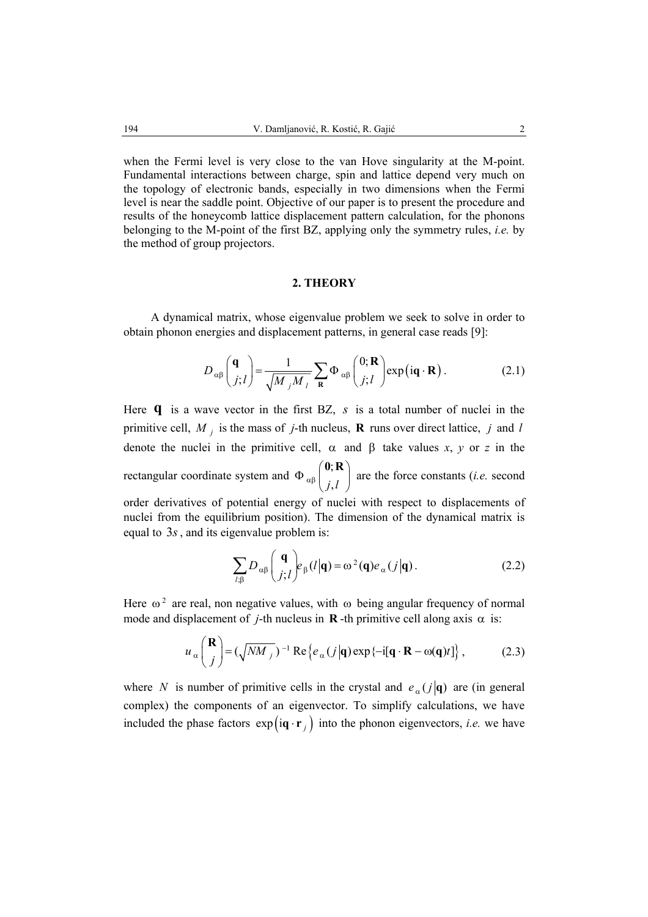when the Fermi level is very close to the van Hove singularity at the M-point. Fundamental interactions between charge, spin and lattice depend very much on the topology of electronic bands, especially in two dimensions when the Fermi level is near the saddle point. Objective of our paper is to present the procedure and results of the honeycomb lattice displacement pattern calculation, for the phonons belonging to the M-point of the first BZ, applying only the symmetry rules, *i.e.* by the method of group projectors.

### **2. THEORY**

A dynamical matrix, whose eigenvalue problem we seek to solve in order to obtain phonon energies and displacement patterns, in general case reads [9]:

$$
D_{\alpha\beta} \begin{pmatrix} \mathbf{q} \\ j; l \end{pmatrix} = \frac{1}{\sqrt{M_j M_l}} \sum_{\mathbf{R}} \Phi_{\alpha\beta} \begin{pmatrix} 0; \mathbf{R} \\ j; l \end{pmatrix} \exp(i\mathbf{q} \cdot \mathbf{R}).
$$
 (2.1)

Here **q** is a wave vector in the first BZ, *s* is a total number of nuclei in the primitive cell, *M <sup>j</sup>* is the mass of *j*-th nucleus, **R** runs over direct lattice, *j* and *l* denote the nuclei in the primitive cell,  $\alpha$  and  $\beta$  take values *x*, *y* or *z* in the rectangular coordinate system and  $\Phi_{\alpha\beta}^{(0)}$  $\Phi$   $_{\alpha \beta} \binom{ \bm{0};\mathbf{R}}{ j,l}$  are the force constants (*i.e.* second order derivatives of potential energy of nuclei with respect to displacements of nuclei from the equilibrium position). The dimension of the dynamical matrix is equal to 3*s*, and its eigenvalue problem is:

$$
\sum_{l,\beta} D_{\alpha\beta} \binom{\mathbf{q}}{j;l} e_{\beta}(l|\mathbf{q}) = \omega^2(\mathbf{q}) e_{\alpha}(j|\mathbf{q}).
$$
 (2.2)

Here  $\omega^2$  are real, non negative values, with  $\omega$  being angular frequency of normal mode and displacement of *j*-th nucleus in **R**-th primitive cell along axis  $\alpha$  is:

$$
u_{\alpha} \binom{\mathbf{R}}{j} = (\sqrt{NM_j})^{-1} \operatorname{Re} \{ e_{\alpha} (j | \mathbf{q}) \exp \{-i[\mathbf{q} \cdot \mathbf{R} - \omega(\mathbf{q})t] \}, \tag{2.3}
$$

where *N* is number of primitive cells in the crystal and  $e_{\alpha}(j|\mathbf{q})$  are (in general complex) the components of an eigenvector. To simplify calculations, we have included the phase factors  $exp(i\mathbf{q} \cdot \mathbf{r}_i)$  into the phonon eigenvectors, *i.e.* we have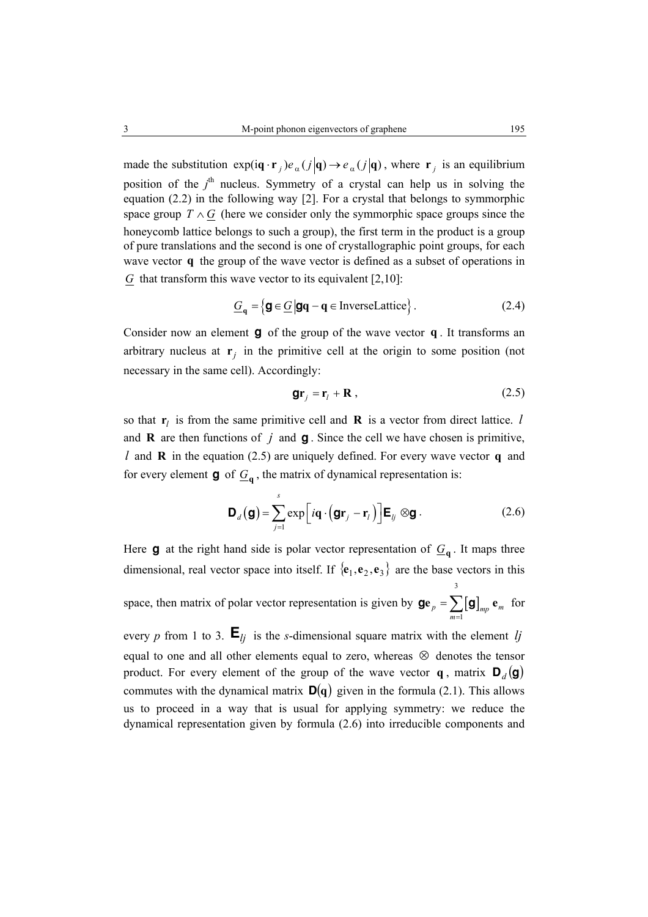made the substitution  $exp(i \mathbf{q} \cdot \mathbf{r}_i) e_{\alpha}(j | \mathbf{q}) \rightarrow e_{\alpha}(j | \mathbf{q})$ , where  $\mathbf{r}_i$  is an equilibrium position of the *j*<sup>th</sup> nucleus. Symmetry of a crystal can help us in solving the equation (2.2) in the following way [2]. For a crystal that belongs to symmorphic space group  $T \wedge G$  (here we consider only the symmorphic space groups since the honeycomb lattice belongs to such a group), the first term in the product is a group of pure translations and the second is one of crystallographic point groups, for each wave vector **q** the group of the wave vector is defined as a subset of operations in *G* that transform this wave vector to its equivalent [2,10]:

$$
\underline{G}_{\mathbf{q}} = \{ \mathbf{g} \in \underline{G} \, | \, \mathbf{g}\mathbf{q} - \mathbf{q} \in \text{InverseLattice} \} \,.
$$

Consider now an element **g** of the group of the wave vector **q** . It transforms an arbitrary nucleus at  $\mathbf{r}_i$  in the primitive cell at the origin to some position (not necessary in the same cell). Accordingly:

$$
\mathbf{gr}_j = \mathbf{r}_l + \mathbf{R} \,,\tag{2.5}
$$

so that  $\mathbf{r}_l$  is from the same primitive cell and **R** is a vector from direct lattice. *l* and **R** are then functions of  $j$  and **g**. Since the cell we have chosen is primitive, *l* and **R** in the equation (2.5) are uniquely defined. For every wave vector **q** and for every element **g** of  $\underline{G}_{q}$ , the matrix of dynamical representation is:

$$
\mathbf{D}_d(\mathbf{g}) = \sum_{j=1}^s \exp\left[i\mathbf{q} \cdot (\mathbf{g}\mathbf{r}_j - \mathbf{r}_l)\right] \mathbf{E}_{ij} \otimes \mathbf{g}.
$$
 (2.6)

Here **g** at the right hand side is polar vector representation of  $G_a$ . It maps three dimensional, real vector space into itself. If  $\{e_1, e_2, e_3\}$  are the base vectors in this space, then matrix of polar vector representation is given by  $\mathbf{ge}_p = \sum [\mathbf{g}]$ 3  $\mathbf{g}\mathbf{e}_p = \sum_{m=1} [\mathbf{g}]_{mp} \mathbf{e}_m$  for every *p* from 1 to 3.  $\mathbf{E}_{lj}$  is the *s*-dimensional square matrix with the element *lj* 

equal to one and all other elements equal to zero, whereas ⊗ denotes the tensor product. For every element of the group of the wave vector **q**, matrix  $\mathbf{D}_d(\mathbf{g})$ commutes with the dynamical matrix  $D(q)$  given in the formula (2.1). This allows us to proceed in a way that is usual for applying symmetry: we reduce the dynamical representation given by formula (2.6) into irreducible components and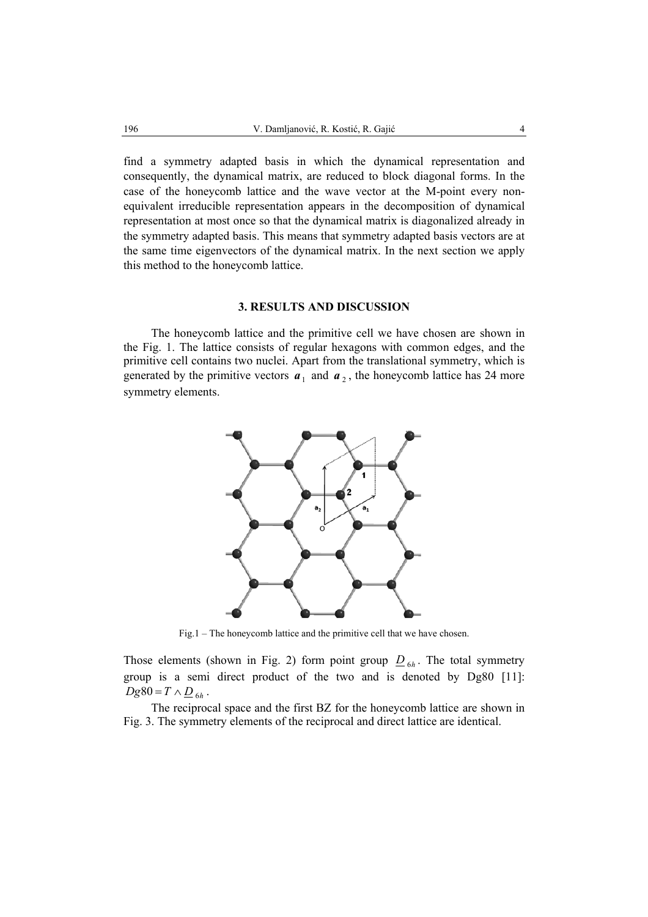find a symmetry adapted basis in which the dynamical representation and consequently, the dynamical matrix, are reduced to block diagonal forms. In the case of the honeycomb lattice and the wave vector at the M-point every nonequivalent irreducible representation appears in the decomposition of dynamical representation at most once so that the dynamical matrix is diagonalized already in the symmetry adapted basis. This means that symmetry adapted basis vectors are at the same time eigenvectors of the dynamical matrix. In the next section we apply this method to the honeycomb lattice.

# **3. RESULTS AND DISCUSSION**

The honeycomb lattice and the primitive cell we have chosen are shown in the Fig. 1. The lattice consists of regular hexagons with common edges, and the primitive cell contains two nuclei. Apart from the translational symmetry, which is generated by the primitive vectors  $a_1$  and  $a_2$ , the honeycomb lattice has 24 more symmetry elements.



Fig.1 – The honeycomb lattice and the primitive cell that we have chosen.

Those elements (shown in Fig. 2) form point group  $D_{6h}$ . The total symmetry group is a semi direct product of the two and is denoted by Dg80 [11]:  $Dg80 = T \wedge D_{6h}$ .

The reciprocal space and the first BZ for the honeycomb lattice are shown in Fig. 3. The symmetry elements of the reciprocal and direct lattice are identical.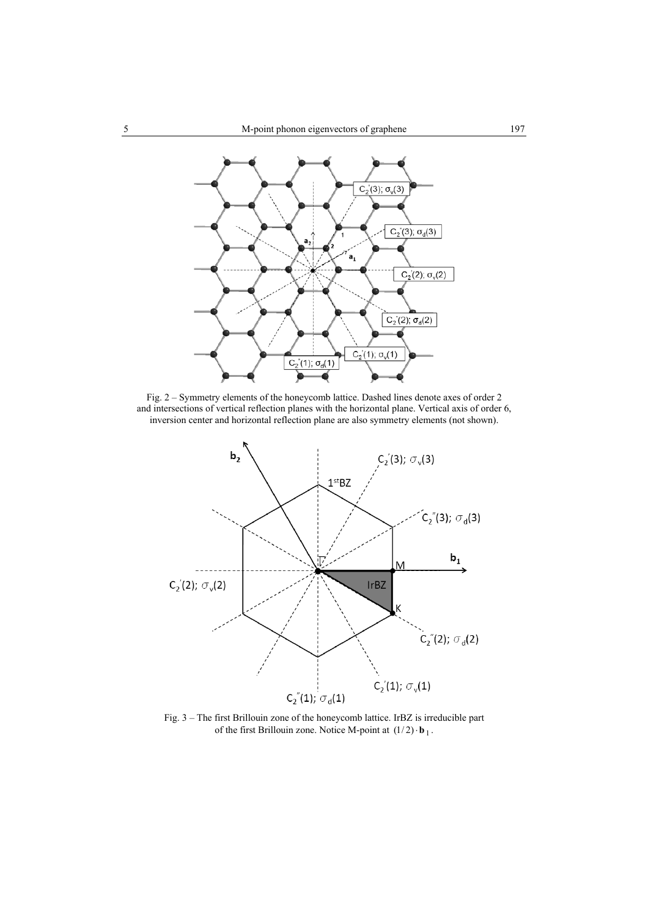

Fig. 2 – Symmetry elements of the honeycomb lattice. Dashed lines denote axes of order 2 and intersections of vertical reflection planes with the horizontal plane. Vertical axis of order 6, inversion center and horizontal reflection plane are also symmetry elements (not shown).



Fig. 3 – The first Brillouin zone of the honeycomb lattice. IrBZ is irreducible part of the first Brillouin zone. Notice M-point at  $(1/2) \cdot \mathbf{b}_1$ .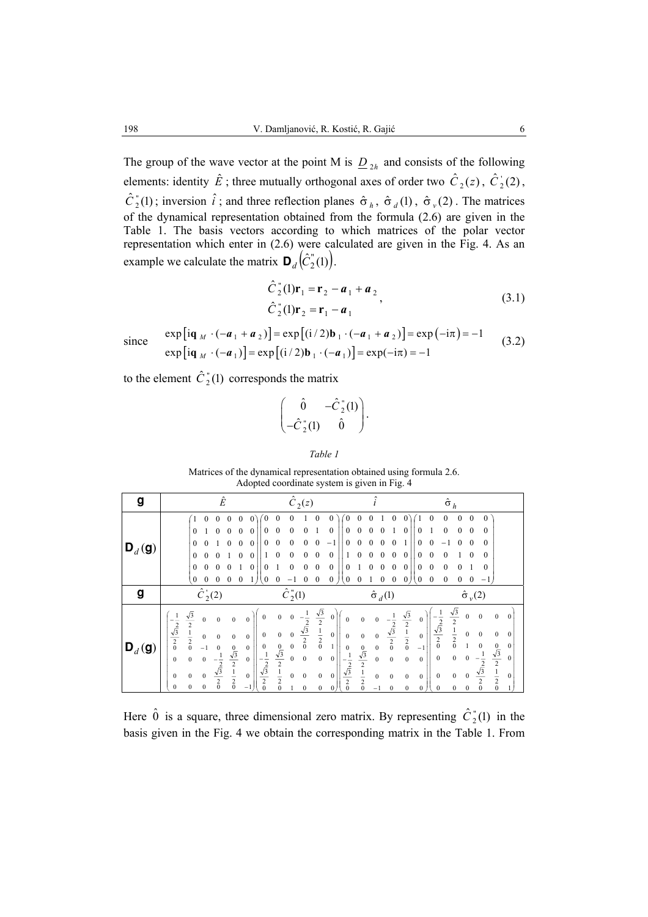The group of the wave vector at the point M is  $D_{2h}$  and consists of the following elements: identity  $\hat{E}$ ; three mutually orthogonal axes of order two  $\hat{C}_2(z)$ ,  $\hat{C}_2(z)$ ,  $\hat{C}_2^{\dagger}(1)$ ; inversion  $\hat{i}$ ; and three reflection planes  $\hat{\sigma}_h$ ,  $\hat{\sigma}_d(1)$ ,  $\hat{\sigma}_v(2)$ . The matrices of the dynamical representation obtained from the formula (2.6) are given in the Table 1. The basis vectors according to which matrices of the polar vector representation which enter in (2.6) were calculated are given in the Fig. 4. As an example we calculate the matrix  $\mathbf{D}_d(\hat{C}_2^{\{r\}}(1)).$ 

$$
\hat{C}_2^{\text{v}}(1)\mathbf{r}_1 = \mathbf{r}_2 - \mathbf{a}_1 + \mathbf{a}_2
$$
\n
$$
\hat{C}_2^{\text{v}}(1)\mathbf{r}_2 = \mathbf{r}_1 - \mathbf{a}_1
$$
\n(3.1)

since 
$$
\exp[i\mathbf{q}_M \cdot (-\mathbf{a}_1 + \mathbf{a}_2)] = \exp[(i/2)\mathbf{b}_1 \cdot (-\mathbf{a}_1 + \mathbf{a}_2)] = \exp(-i\pi) = -1
$$
  
\n
$$
\exp[i\mathbf{q}_M \cdot (-\mathbf{a}_1)] = \exp[(i/2)\mathbf{b}_1 \cdot (-\mathbf{a}_1)] = \exp(-i\pi) = -1
$$
\n(3.2)

to the element  $\hat{C}_2^{\dagger}(1)$  corresponds the matrix

$$
\begin{pmatrix}\n\hat{0} & -\hat{C}_2^{\dagger}(1) \\
-\hat{C}_2^{\dagger}(1) & \hat{0}\n\end{pmatrix}.
$$

*Table 1* 

Matrices of the dynamical representation obtained using formula 2.6. Adopted coordinate system is given in Fig. 4

| g                          | $\hat{E}$                                                                                                                                                                                                                                                                                                                                                                                                                                                                                                 | $\hat{C}_2(z)$                                                                                                                                                                                                                                                                                                                                                                                                                                                                                                                                                                                                                           |                                                                                                                                                                                                                                                                                                                                                                   | $\hat{\sigma}_h$                                                                                                                                                                                                                                                                                                                                                                                                                                                                                                                                                          |
|----------------------------|-----------------------------------------------------------------------------------------------------------------------------------------------------------------------------------------------------------------------------------------------------------------------------------------------------------------------------------------------------------------------------------------------------------------------------------------------------------------------------------------------------------|------------------------------------------------------------------------------------------------------------------------------------------------------------------------------------------------------------------------------------------------------------------------------------------------------------------------------------------------------------------------------------------------------------------------------------------------------------------------------------------------------------------------------------------------------------------------------------------------------------------------------------------|-------------------------------------------------------------------------------------------------------------------------------------------------------------------------------------------------------------------------------------------------------------------------------------------------------------------------------------------------------------------|---------------------------------------------------------------------------------------------------------------------------------------------------------------------------------------------------------------------------------------------------------------------------------------------------------------------------------------------------------------------------------------------------------------------------------------------------------------------------------------------------------------------------------------------------------------------------|
| $\mathbf{D}_d(\mathbf{g})$ | 0<br>$\theta$<br>$\theta$<br>0<br>$\Omega$<br>$\theta$<br>0<br>$\Omega$                                                                                                                                                                                                                                                                                                                                                                                                                                   | 0<br>0<br>$\theta$<br>$\theta$<br>$\theta$<br>0<br>0<br>$\theta$<br>$\theta$<br>0<br>0<br>0<br>$\theta$<br>- 1<br>$\theta$<br>$\theta$<br>0<br>0<br>0<br>$\mathbf{0}$<br>$\mathbf{0}$<br>0<br>$\theta$<br>$\theta$<br>0<br>0<br>$\theta$<br>0<br>0                                                                                                                                                                                                                                                                                                                                                                                       | $\theta$<br>0<br>0<br>0<br>0<br>0<br>0                                                                                                                                                                                                                                                                                                                            | 0<br>0<br>0<br>0<br>$\theta$<br>$\theta$<br>0<br>$_{0}$<br>$\theta$<br>0<br>0<br>$\Omega$<br>$\Omega$<br>0<br>$\Omega$<br>$\Omega$<br>$\theta$<br>$\Omega$<br>0<br>0<br>$\Omega$<br>$\mathbf{0}$<br>0<br>$\mathbf{0}$<br>$\Omega$<br>-                                                                                                                                                                                                                                                                                                                                    |
| g                          | $\hat{C}_2(2)$                                                                                                                                                                                                                                                                                                                                                                                                                                                                                            | $\hat{C}_2^{\prime\prime}(1)$                                                                                                                                                                                                                                                                                                                                                                                                                                                                                                                                                                                                            | $\hat{\sigma}_d(1)$                                                                                                                                                                                                                                                                                                                                               | $\hat{\sigma}_{\nu}(2)$                                                                                                                                                                                                                                                                                                                                                                                                                                                                                                                                                   |
| $\mathbf{D}_d(\mathbf{g})$ | $\sqrt{3}$<br>$\mathbf{0}$<br>$\theta$<br>$\mathbf{0}$<br>$\Omega$<br>$\frac{-\frac{2}{3}}{\frac{\sqrt{3}}{2}}$<br>$\overline{2}$<br>$\frac{1}{2}$<br>$\mathbf{0}$<br>$\mathbf{0}$<br>0<br>$\mathbf{0}$<br>$\frac{\sqrt{3}}{2}$<br>$\frac{1}{2}$<br>$\frac{1}{2}$<br>0<br>$-1$<br>$\mathbf{0}$<br>$\mathbf{0}$<br>$\mathbf{0}$<br>$\mathbf{0}$<br>$\mathbf{0}$<br>$-\frac{1}{2}$<br>$\frac{\sqrt{3}}{2}$<br>$\frac{2}{0}$<br>$\mathbf{0}$<br>$\mathbf{0}$<br>$\mathbf{0}$<br>$\mathbf{0}$<br>$\mathbf{0}$ | $\frac{\sqrt{3}}{2}$ $\frac{1}{2}$ $\frac{1}{0}$<br>$\frac{-\frac{1}{2}}{\frac{\sqrt{3}}{2}}$<br>$\mathbf{0}$<br>$\Omega$<br>$\theta$<br>0<br>$\mathbf{0}$<br>$\mathbf{0}$<br>$\mathbf{0}$<br>$\mathbf{0}$<br>$\mathbf{0}$<br>1<br>$\frac{\sqrt{3}}{2}$<br>$\frac{1}{2}$<br>$\frac{1}{2}$<br>0<br>$\mathbf{0}$<br>$\mathbf{0}$<br>$\mathbf{0}$<br>$-\frac{1}{2}$<br>$\sqrt{3}$<br>$\boldsymbol{0}$<br>$\mathbf{0}$<br>$\mathbf{0}$<br>$\boldsymbol{0}$<br>$\mathbf{0}$<br>$\frac{2}{\sqrt{3}}$<br>$\frac{2}{2}$<br>$\mathbf{0}$<br>$\Omega$<br>$\mathbf{0}$<br>$\mathbf{0}$<br>$\Omega$<br>$\frac{2}{0}$<br>$\mathbf{0}$<br>$\mathbf{0}$ | $\frac{\sqrt{3}}{2}$ $\frac{1}{2}$ $\frac{1}{2}$<br>$\Omega$<br>$\Omega$<br>$\frac{\sqrt{3}}{2}$<br>$\mathbf{0}$<br>$\mathbf{0}$<br>$\frac{\sqrt{3}}{2}$<br>$\frac{1}{2}$<br>$\frac{1}{2}$<br>$\mathbf{0}$<br>$\boldsymbol{0}$<br>$\mathbf{0}$<br>$\boldsymbol{0}$<br>$\boldsymbol{0}$<br>$\mathbf{0}$<br>$\mathbf{0}$<br>$\mathbf{0}$<br>$\mathbf{0}$<br>$^{-1}$ | $\frac{\sqrt{3}}{2}$ $\frac{1}{2}$ $\frac{1}{2}$<br>$\boldsymbol{0}$<br>$\theta$<br>$\theta$<br>$\theta$<br>$\frac{-\frac{2}{3}}{\frac{\sqrt{3}}{2}}$<br>$\boldsymbol{0}$<br>$\mathbf{0}$<br>$\mathbf{0}$<br>$\mathbf{0}$<br>$\theta$<br>$\mathbf{0}$<br>$\Omega$<br>$\bf{0}$<br>$\frac{\sqrt{3}}{2}$<br>$\frac{1}{2}$<br>0<br>$-1$<br>$\mathbf{0}$<br>$\mathbf{0}$<br>$\mathbf{0}$<br>$\bf{0}$<br>$\mathbf{0}$<br>$\frac{2}{\sqrt{3}}$<br>$\mathbf{0}$<br>$\Omega$<br>$\mathbf{0}$<br>$\theta$<br>$\mathbf{0}$<br>$\mathbf{0}$<br>1<br>$\mathbf{0}$<br>0<br>$\mathbf{0}$ |

Here  $\hat{0}$  is a square, three dimensional zero matrix. By representing  $\hat{C}_2^{\dagger}(1)$  in the basis given in the Fig. 4 we obtain the corresponding matrix in the Table 1. From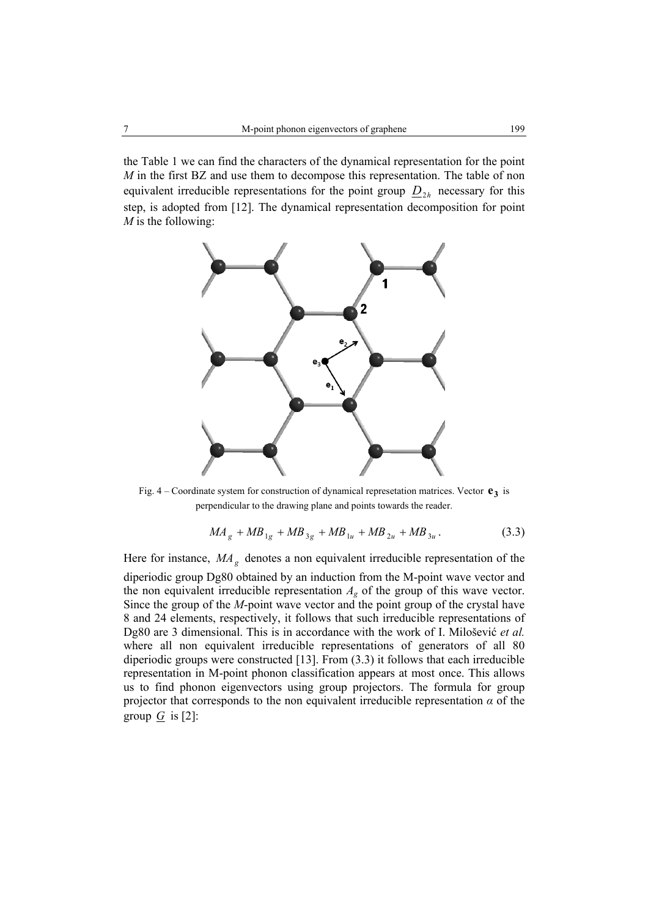the Table 1 we can find the characters of the dynamical representation for the point *M* in the first BZ and use them to decompose this representation. The table of non equivalent irreducible representations for the point group  $D_{2h}$  necessary for this step, is adopted from [12]. The dynamical representation decomposition for point *M* is the following:



Fig.  $4$  – Coordinate system for construction of dynamical represetation matrices. Vector  $\mathbf{e}_3$  is perpendicular to the drawing plane and points towards the reader.

$$
MA_{g} + MB_{1g} + MB_{3g} + MB_{1u} + MB_{2u} + MB_{3u}.
$$
 (3.3)

Here for instance, MA<sub>g</sub> denotes a non equivalent irreducible representation of the diperiodic group Dg80 obtained by an induction from the M-point wave vector and the non equivalent irreducible representation  $A_g$  of the group of this wave vector. Since the group of the *M*-point wave vector and the point group of the crystal have 8 and 24 elements, respectively, it follows that such irreducible representations of Dg80 are 3 dimensional. This is in accordance with the work of I. Milošević *et al.* where all non equivalent irreducible representations of generators of all 80 diperiodic groups were constructed  $[13]$ . From  $(3.3)$  it follows that each irreducible representation in M-point phonon classification appears at most once. This allows us to find phonon eigenvectors using group projectors. The formula for group projector that corresponds to the non equivalent irreducible representation  $\alpha$  of the group  $\overline{G}$  is [2]: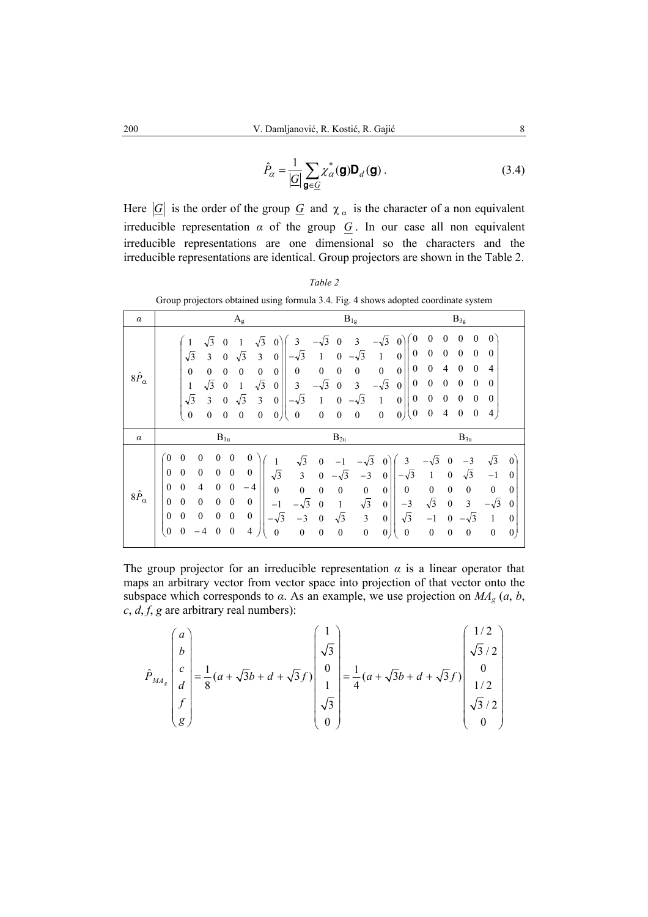$$
\hat{P}_{\alpha} = \frac{1}{|\mathcal{G}|} \sum_{\mathbf{g} \in \mathcal{G}} \chi_{\alpha}^{*}(\mathbf{g}) \mathbf{D}_{d}(\mathbf{g}) .
$$
\n(3.4)

Here  $|\underline{G}|$  is the order of the group  $\underline{G}$  and  $\chi_{\alpha}$  is the character of a non equivalent irreducible representation  $\alpha$  of the group  $G$ . In our case all non equivalent irreducible representations are one dimensional so the characters and the irreducible representations are identical. Group projectors are shown in the Table 2.

| $\mu$ piv<br><u>.</u><br>5.<br>u<br>coorumate system |                                                                                                                                                                                                                                                                                                                                                                                                                                                                                                                                                                                                                                                                             |                                                                                                                                                                                                                                                                                                                                                                                                                                                                                                                                                                                                                                                |                                                                                                                                                                                                                                                                                                                                                                                                                                                                                                       |  |  |  |
|------------------------------------------------------|-----------------------------------------------------------------------------------------------------------------------------------------------------------------------------------------------------------------------------------------------------------------------------------------------------------------------------------------------------------------------------------------------------------------------------------------------------------------------------------------------------------------------------------------------------------------------------------------------------------------------------------------------------------------------------|------------------------------------------------------------------------------------------------------------------------------------------------------------------------------------------------------------------------------------------------------------------------------------------------------------------------------------------------------------------------------------------------------------------------------------------------------------------------------------------------------------------------------------------------------------------------------------------------------------------------------------------------|-------------------------------------------------------------------------------------------------------------------------------------------------------------------------------------------------------------------------------------------------------------------------------------------------------------------------------------------------------------------------------------------------------------------------------------------------------------------------------------------------------|--|--|--|
| $\alpha$                                             | $A_{g}$                                                                                                                                                                                                                                                                                                                                                                                                                                                                                                                                                                                                                                                                     | $B_{1g}$                                                                                                                                                                                                                                                                                                                                                                                                                                                                                                                                                                                                                                       | $B_{3g}$                                                                                                                                                                                                                                                                                                                                                                                                                                                                                              |  |  |  |
| $8\hat{P}_{\alpha}$                                  | $\sqrt{3}$<br>$\sqrt{3}$<br>$\mathbf{0}$<br>$\mathbf{1}$<br>$\mathbf{0}$<br>$\sqrt{3}$<br>$\sqrt{3}$<br>$\overline{3}$<br>3<br>$\mathbf{0}$<br>$\mathbf{0}$<br>$\mathbf{0}$<br>$\mathbf{0}$<br>$\mathbf{0}$<br>$\boldsymbol{0}$<br>$\mathbf{0}$<br>$\mathbf{0}$<br>$\sqrt{3}$<br>$\sqrt{3}$<br>$\mathbf{1}$<br>$\mathbf{0}$<br>1<br>$\mathbf{0}$<br>$\sqrt{3}$<br>$\sqrt{3}$<br>$\overline{\mathbf{3}}$<br>3<br>$\boldsymbol{0}$<br>$\boldsymbol{0}$<br>$\boldsymbol{0}$<br>$\boldsymbol{0}$<br>$\boldsymbol{0}$<br>$\boldsymbol{0}$<br>$\boldsymbol{0}$<br>0)                                                                                                              | $\boldsymbol{0}$<br>$-\sqrt{3}$<br>$-\sqrt{3}$<br>$\overline{3}$<br>$\overline{0}$<br>3<br>$\mathbf{0}$<br>$\boldsymbol{0}$<br>$\sqrt{3}$<br>3<br>$\mathbf{1}$<br>$\mathbf{0}$<br>$\mathbf{0}$<br>1<br>$\boldsymbol{0}$<br>$\mathbf{0}$<br>$\overline{0}$<br>$\boldsymbol{0}$<br>$\mathbf{0}$<br>$\boldsymbol{0}$<br>$\mathbf{0}$<br>$\boldsymbol{0}$<br>$-\sqrt{3}$<br>$-\sqrt{3}$<br>3<br>3<br>$\mathbf{0}$<br>$\theta$<br>$\boldsymbol{0}$<br>$-\sqrt{3}$<br>$\sqrt{3}$<br>$\mathbf{0}$<br>1<br>$\boldsymbol{0}$<br>1<br>$\theta$<br>$\boldsymbol{0}$<br>$\boldsymbol{0}$<br>0)<br>$\boldsymbol{0}$<br>$\boldsymbol{0}$<br>$\boldsymbol{0}$ | $\theta$<br>$\boldsymbol{0}$<br>$\boldsymbol{0}$<br>0<br>$\bf{0}$<br>$\boldsymbol{0}$<br>$\boldsymbol{0}$<br>$\boldsymbol{0}$<br>$\mathbf{0}$<br>$\overline{0}$<br>$\theta$<br>$\overline{4}$<br>$\theta$<br>$\mathbf{0}$<br>4<br>$\boldsymbol{0}$<br>$\theta$<br>$\boldsymbol{0}$<br>$\mathbf{0}$<br>$\boldsymbol{0}$<br>$\boldsymbol{0}$<br>$\boldsymbol{0}$<br>$\boldsymbol{0}$<br>$\theta$<br>$\boldsymbol{0}$<br>$\boldsymbol{0}$<br>$\overline{4}$<br>$\boldsymbol{0}$<br>$\boldsymbol{0}$<br>4 |  |  |  |
| $\alpha$                                             | $B_{1u}$                                                                                                                                                                                                                                                                                                                                                                                                                                                                                                                                                                                                                                                                    | $B_{2u}$                                                                                                                                                                                                                                                                                                                                                                                                                                                                                                                                                                                                                                       | $B_{3u}$                                                                                                                                                                                                                                                                                                                                                                                                                                                                                              |  |  |  |
| $8\hat{P}_{\alpha}$                                  | $\mathbf{0}$<br>$\mathbf{0}$<br>$\boldsymbol{0}$<br>$\overline{0}$<br>$\overline{0}$<br>$\boldsymbol{0}$<br>$\mathbf{0}$<br>$\mathbf{0}$<br>$\mathbf{0}$<br>$\theta$<br>$\theta$<br>$\mathbf{0}$<br>$\sqrt{3}$<br>$\theta$<br>$\overline{\mathcal{L}}$<br>$\mathbf{0}$<br>$\boldsymbol{0}$<br>$\mathbf{0}$<br>$-4$<br>$\overline{0}$<br>$\mathbf{0}$<br>$\mathbf{0}$<br>$\boldsymbol{0}$<br>$\boldsymbol{0}$<br>$\mathbf{0}$<br>$\boldsymbol{0}$<br>$-1$<br>$\mathbf{0}$<br>$\mathbf{0}$<br>$\mathbf{0}$<br>$\mathbf{0}$<br>$\theta$<br>$\boldsymbol{0}$<br>$-\sqrt{3}$<br>$\theta$<br>$\overline{0}$<br>$\boldsymbol{0}$<br>$\overline{4}$<br>$\theta$<br>$\boldsymbol{0}$ | $\sqrt{3}$<br>3<br>$\mathbf{0}$<br>$-\sqrt{3}$<br>$\overline{0}$<br>$-1$<br>$\overline{\mathbf{3}}$<br>$-\sqrt{3}$<br>$\sqrt{3}$<br>$\overline{0}$<br>$-3$<br>$\mathbf{0}$<br>$\boldsymbol{0}$<br>$\boldsymbol{0}$<br>$\mathbf{0}$<br>$\mathbf{0}$<br>$\boldsymbol{0}$<br>$\mathbf{0}$<br>$\sqrt{3}$<br>$-3$<br>$-\sqrt{3}$<br>$\theta$<br>$\mathbf{1}$<br>$\boldsymbol{0}$<br>$\sqrt{3}$<br>$\sqrt{3}$<br>$\mathfrak{Z}$<br>$-3$<br>$\mathbf{0}$<br>$\boldsymbol{0}$<br>$\boldsymbol{0}$<br>$\boldsymbol{0}$<br>$\boldsymbol{0}$<br>$\boldsymbol{0}$<br>$\boldsymbol{0}$<br>$\boldsymbol{0}$                                                  | $\sqrt{3}$<br>$-\sqrt{3}$<br>$\mathbf{0}$<br>$-3$<br>$\theta$<br>$\sqrt{3}$<br>$\boldsymbol{0}$<br>$\,1$<br>$^{-1}$<br>$\mathbf{0}$<br>$\boldsymbol{0}$<br>$\boldsymbol{0}$<br>$\mathbf{0}$<br>$\mathbf{0}$<br>$\theta$<br>$\sqrt{3}$<br>$\overline{\mathbf{3}}$<br>$-\sqrt{3}$<br>$\boldsymbol{0}$<br>$\mathbf{0}$<br>$-1$<br>$\sqrt{3}$<br>1<br>$\theta$<br>$\boldsymbol{0}$<br>$\boldsymbol{0}$<br>$\boldsymbol{0}$<br>$\boldsymbol{0}$<br>$\mathbf{0}$<br>$\mathbf{0}$                            |  |  |  |

*Table 2*  Group projectors obtained using formula 3.4. Fig. 4 shows adopted coordinate system

The group projector for an irreducible representation  $\alpha$  is a linear operator that maps an arbitrary vector from vector space into projection of that vector onto the subspace which corresponds to  $\alpha$ . As an example, we use projection on  $MA_g$  ( $a, b$ , *c*, *d*, *f*, *g* are arbitrary real numbers):

$$
\hat{P}_{MA_g} \begin{pmatrix} a \\ b \\ c \\ d \\ f \\ g \end{pmatrix} = \frac{1}{8} (a + \sqrt{3}b + d + \sqrt{3}f) \begin{pmatrix} 1 \\ \sqrt{3} \\ 0 \\ 1 \\ \sqrt{3} \\ 0 \end{pmatrix} = \frac{1}{4} (a + \sqrt{3}b + d + \sqrt{3}f) \begin{pmatrix} 1/2 \\ \sqrt{3}/2 \\ 0 \\ 1/2 \\ \sqrt{3}/2 \\ 0 \end{pmatrix}
$$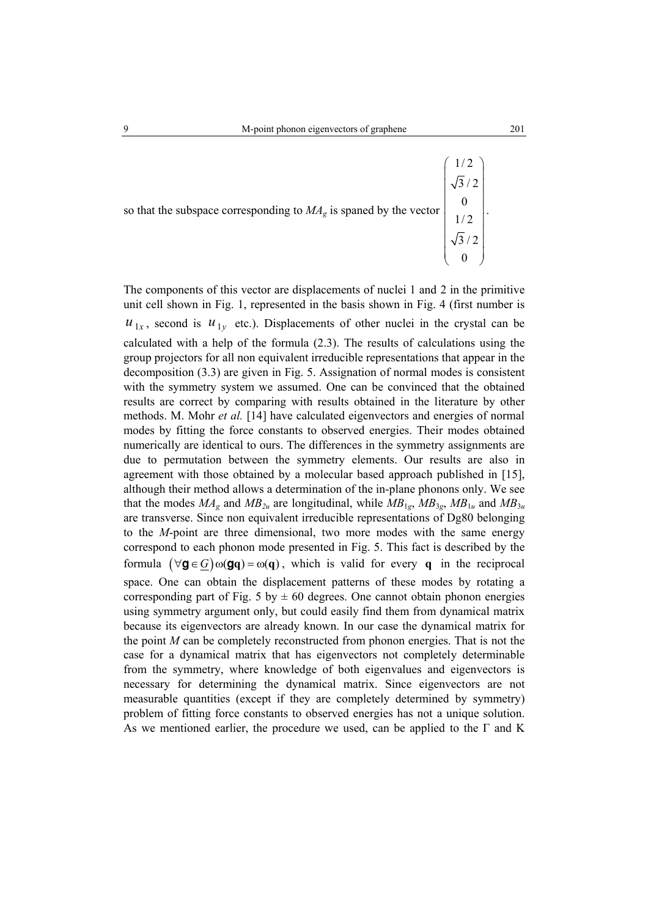so that the subspace corresponding to  $MA<sub>g</sub>$  is spaned by the vector

3/2 0  $\begin{pmatrix} \sqrt{3}/2 \\ 0 \end{pmatrix}$ The components of this vector are displacements of nuclei 1 and 2 in the primitive unit cell shown in Fig. 1, represented in the basis shown in Fig. 4 (first number is  $u_{1x}$ , second is  $u_{1y}$  etc.). Displacements of other nuclei in the crystal can be calculated with a help of the formula (2.3). The results of calculations using the group projectors for all non equivalent irreducible representations that appear in the decomposition (3.3) are given in Fig. 5. Assignation of normal modes is consistent with the symmetry system we assumed. One can be convinced that the obtained results are correct by comparing with results obtained in the literature by other methods. M. Mohr *et al.* [14] have calculated eigenvectors and energies of normal modes by fitting the force constants to observed energies. Their modes obtained numerically are identical to ours. The differences in the symmetry assignments are

due to permutation between the symmetry elements. Our results are also in agreement with those obtained by a molecular based approach published in [15], although their method allows a determination of the in-plane phonons only. We see that the modes  $MA_g$  and  $MB_{2u}$  are longitudinal, while  $MB_{1g}$ ,  $MB_{3g}$ ,  $MB_{1u}$  and  $MB_{3u}$ are transverse. Since non equivalent irreducible representations of Dg80 belonging to the *M*-point are three dimensional, two more modes with the same energy correspond to each phonon mode presented in Fig. 5. This fact is described by the formula  $(\forall g \in G) \omega(gq) = \omega(q)$ , which is valid for every q in the reciprocal space. One can obtain the displacement patterns of these modes by rotating a corresponding part of Fig. 5 by  $\pm$  60 degrees. One cannot obtain phonon energies using symmetry argument only, but could easily find them from dynamical matrix because its eigenvectors are already known. In our case the dynamical matrix for the point *M* can be completely reconstructed from phonon energies. That is not the case for a dynamical matrix that has eigenvectors not completely determinable from the symmetry, where knowledge of both eigenvalues and eigenvectors is necessary for determining the dynamical matrix. Since eigenvectors are not measurable quantities (except if they are completely determined by symmetry) problem of fitting force constants to observed energies has not a unique solution. As we mentioned earlier, the procedure we used, can be applied to the  $\Gamma$  and K

1/2 3/2 0 1/2

 $\begin{pmatrix} 1/2 \\ \hline \end{pmatrix}$  $\vert \sqrt{3}/2 \vert$  $\begin{array}{ccc} \n\end{array}$   $\vert$  1/2  $\vert$  $\sqrt{2}$ 

.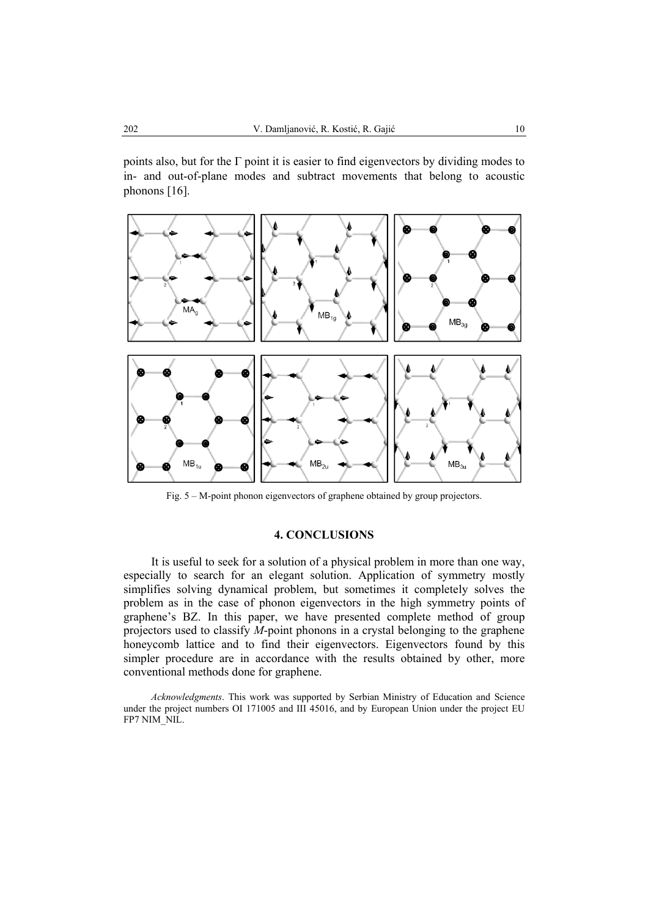points also, but for the  $\Gamma$  point it is easier to find eigenvectors by dividing modes to in- and out-of-plane modes and subtract movements that belong to acoustic phonons [16].



Fig. 5 – M-point phonon eigenvectors of graphene obtained by group projectors.

# **4. CONCLUSIONS**

It is useful to seek for a solution of a physical problem in more than one way, especially to search for an elegant solution. Application of symmetry mostly simplifies solving dynamical problem, but sometimes it completely solves the problem as in the case of phonon eigenvectors in the high symmetry points of graphene's BZ. In this paper, we have presented complete method of group projectors used to classify *M*-point phonons in a crystal belonging to the graphene honeycomb lattice and to find their eigenvectors. Eigenvectors found by this simpler procedure are in accordance with the results obtained by other, more conventional methods done for graphene.

*Acknowledgments*. This work was supported by Serbian Ministry of Education and Science under the project numbers OI 171005 and III 45016, and by European Union under the project EU FP7 NIM\_NIL.